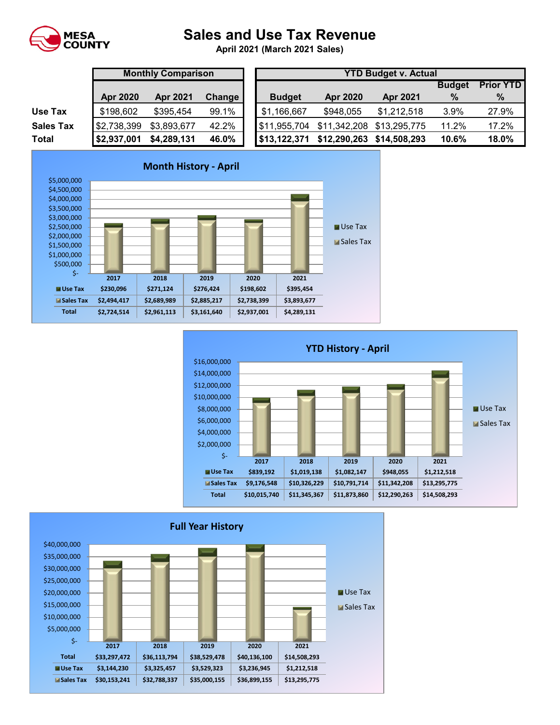

## **Sales and Use Tax Revenue**

**April 2021 (March 2021 Sales)** 

|                  | <b>Monthly Comparison</b> |                 |        | <b>YTD Budget v. Actual</b> |                 |                 |               |                  |  |
|------------------|---------------------------|-----------------|--------|-----------------------------|-----------------|-----------------|---------------|------------------|--|
|                  |                           |                 |        |                             |                 |                 | <b>Budget</b> | <b>Prior YTD</b> |  |
|                  | <b>Apr 2020</b>           | <b>Apr 2021</b> | Change | <b>Budget</b>               | <b>Apr 2020</b> | <b>Apr 2021</b> | %             | $\%$             |  |
| Use Tax          | \$198,602                 | \$395,454       | 99.1%  | \$1,166,667                 | \$948,055       | \$1,212,518     | 3.9%          | 27.9%            |  |
| <b>Sales Tax</b> | \$2,738,399               | \$3,893,677     | 42.2%  | \$11,955,704                | \$11,342,208    | \$13,295,775    | 11.2%         | 17.2%            |  |
| <b>Total</b>     | \$2,937,001               | \$4,289,131     | 46.0%  | $1$ \$13,122,371            | \$12,290,263    | \$14,508,293    | 10.6%         | 18.0%            |  |





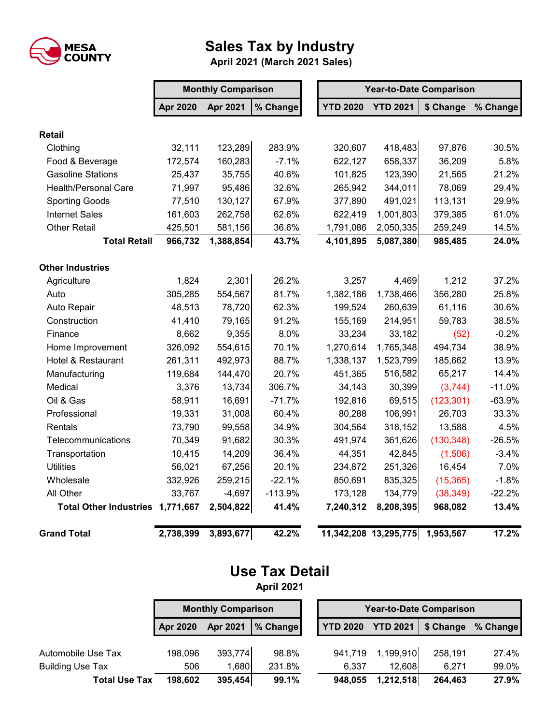

## **Sales Tax by Industry**

 **April 2021 (March 2021 Sales)**

|                                  | <b>Monthly Comparison</b> |                 |           | <b>Year-to-Date Comparison</b> |                 |            |          |  |
|----------------------------------|---------------------------|-----------------|-----------|--------------------------------|-----------------|------------|----------|--|
|                                  | <b>Apr 2020</b>           | <b>Apr 2021</b> | % Change  | <b>YTD 2020</b>                | <b>YTD 2021</b> | \$ Change  | % Change |  |
| <b>Retail</b>                    |                           |                 |           |                                |                 |            |          |  |
| Clothing                         | 32,111                    | 123,289         | 283.9%    | 320,607                        | 418,483         | 97,876     | 30.5%    |  |
| Food & Beverage                  | 172,574                   | 160,283         | $-7.1%$   | 622,127                        | 658,337         | 36,209     | 5.8%     |  |
| <b>Gasoline Stations</b>         | 25,437                    | 35,755          | 40.6%     | 101,825                        | 123,390         | 21,565     | 21.2%    |  |
| <b>Health/Personal Care</b>      | 71,997                    | 95,486          | 32.6%     | 265,942                        | 344,011         | 78,069     | 29.4%    |  |
| <b>Sporting Goods</b>            | 77,510                    | 130,127         | 67.9%     | 377,890                        | 491,021         | 113,131    | 29.9%    |  |
| <b>Internet Sales</b>            | 161,603                   | 262,758         | 62.6%     | 622,419                        | 1,001,803       | 379,385    | 61.0%    |  |
| <b>Other Retail</b>              | 425,501                   | 581,156         | 36.6%     | 1,791,086                      | 2,050,335       | 259,249    | 14.5%    |  |
| <b>Total Retail</b>              | 966,732                   | 1,388,854       | 43.7%     | 4,101,895                      | 5,087,380       | 985,485    | 24.0%    |  |
| <b>Other Industries</b>          |                           |                 |           |                                |                 |            |          |  |
| Agriculture                      | 1,824                     | 2,301           | 26.2%     | 3,257                          | 4,469           | 1,212      | 37.2%    |  |
| Auto                             | 305,285                   | 554,567         | 81.7%     | 1,382,186                      | 1,738,466       | 356,280    | 25.8%    |  |
| Auto Repair                      | 48,513                    | 78,720          | 62.3%     | 199,524                        | 260,639         | 61,116     | 30.6%    |  |
| Construction                     | 41,410                    | 79,165          | 91.2%     | 155,169                        | 214,951         | 59,783     | 38.5%    |  |
| Finance                          | 8,662                     | 9,355           | 8.0%      | 33,234                         | 33,182          | (52)       | $-0.2%$  |  |
| Home Improvement                 | 326,092                   | 554,615         | 70.1%     | 1,270,614                      | 1,765,348       | 494,734    | 38.9%    |  |
| Hotel & Restaurant               | 261,311                   | 492,973         | 88.7%     | 1,338,137                      | 1,523,799       | 185,662    | 13.9%    |  |
| Manufacturing                    | 119,684                   | 144,470         | 20.7%     | 451,365                        | 516,582         | 65,217     | 14.4%    |  |
| Medical                          | 3,376                     | 13,734          | 306.7%    | 34,143                         | 30,399          | (3,744)    | $-11.0%$ |  |
| Oil & Gas                        | 58,911                    | 16,691          | $-71.7%$  | 192,816                        | 69,515          | (123, 301) | $-63.9%$ |  |
| Professional                     | 19,331                    | 31,008          | 60.4%     | 80,288                         | 106,991         | 26,703     | 33.3%    |  |
| Rentals                          | 73,790                    | 99,558          | 34.9%     | 304,564                        | 318,152         | 13,588     | 4.5%     |  |
| Telecommunications               | 70,349                    | 91,682          | 30.3%     | 491,974                        | 361,626         | (130, 348) | $-26.5%$ |  |
| Transportation                   | 10,415                    | 14,209          | 36.4%     | 44,351                         | 42,845          | (1,506)    | $-3.4%$  |  |
| <b>Utilities</b>                 | 56,021                    | 67,256          | 20.1%     | 234,872                        | 251,326         | 16,454     | 7.0%     |  |
| Wholesale                        | 332,926                   | 259,215         | $-22.1%$  | 850,691                        | 835,325         | (15, 365)  | $-1.8%$  |  |
| All Other                        | 33,767                    | $-4,697$        | $-113.9%$ | 173,128                        | 134,779         | (38, 349)  | $-22.2%$ |  |
| Total Other Industries 1,771,667 |                           | 2,504,822       | 41.4%     | 7,240,312                      | 8,208,395       | 968,082    | 13.4%    |  |
| <b>Grand Total</b>               | 2,738,399                 | 3,893,677       | 42.2%     | 11,342,208 13,295,775          |                 | 1,953,567  | 17.2%    |  |

## **Use Tax Detail April 2021**

**Apr 2020 Apr 2021 % Change YTD 2020 YTD 2021 \$ Change % Change** Automobile Use Tax 198,096 393,774 98.8% 941,719 1,199,910 258,191 27.4% Building Use Tax 6.937 506 1,680 231.8% 6,337 12,608 6,271 99.0% **Total Use Tax 198,602 395,454 99.1% 948,055 1,212,518 264,463 27.9% Monthly Comparison Year-to-Date Comparison**